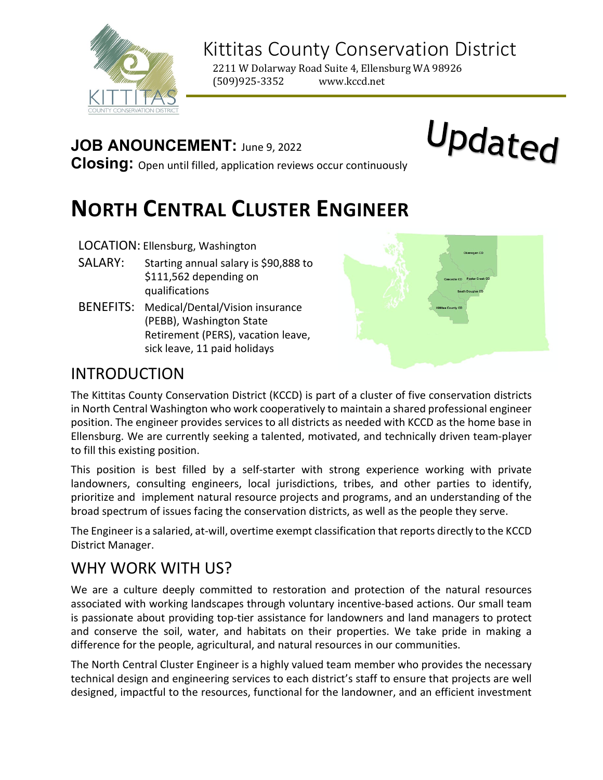

# Kittitas County Conservation District

2211 W Dolarway Road Suite 4, Ellensburg WA 98926<br>(509)925-3352 www.kccd.net (509)925-3352

## **JOB ANOUNCEMENT:** June 9, 2022

Updated

**Closing:** Open until filled, application reviews occur continuously

# **NORTH CENTRAL CLUSTER ENGINEER**

#### LOCATION: Ellensburg, Washington

- SALARY: Starting annual salary is \$90,888 to \$111,562 depending on qualifications
- BENEFITS: Medical/Dental/Vision insurance (PEBB), Washington State Retirement (PERS), vacation leave, sick leave, 11 paid holidays



## INTRODUCTION

The Kittitas County Conservation District (KCCD) is part of a cluster of five conservation districts in North Central Washington who work cooperatively to maintain a shared professional engineer position. The engineer provides services to all districts as needed with KCCD as the home base in Ellensburg. We are currently seeking a talented, motivated, and technically driven team-player to fill this existing position.

This position is best filled by a self-starter with strong experience working with private landowners, consulting engineers, local jurisdictions, tribes, and other parties to identify, prioritize and implement natural resource projects and programs, and an understanding of the broad spectrum of issues facing the conservation districts, as well as the people they serve.

The Engineer is a salaried, at-will, overtime exempt classification that reports directly to the KCCD District Manager.

## WHY WORK WITH US?

We are a culture deeply committed to restoration and protection of the natural resources associated with working landscapes through voluntary incentive-based actions. Our small team is passionate about providing top-tier assistance for landowners and land managers to protect and conserve the soil, water, and habitats on their properties. We take pride in making a difference for the people, agricultural, and natural resources in our communities.

The North Central Cluster Engineer is a highly valued team member who provides the necessary technical design and engineering services to each district's staff to ensure that projects are well designed, impactful to the resources, functional for the landowner, and an efficient investment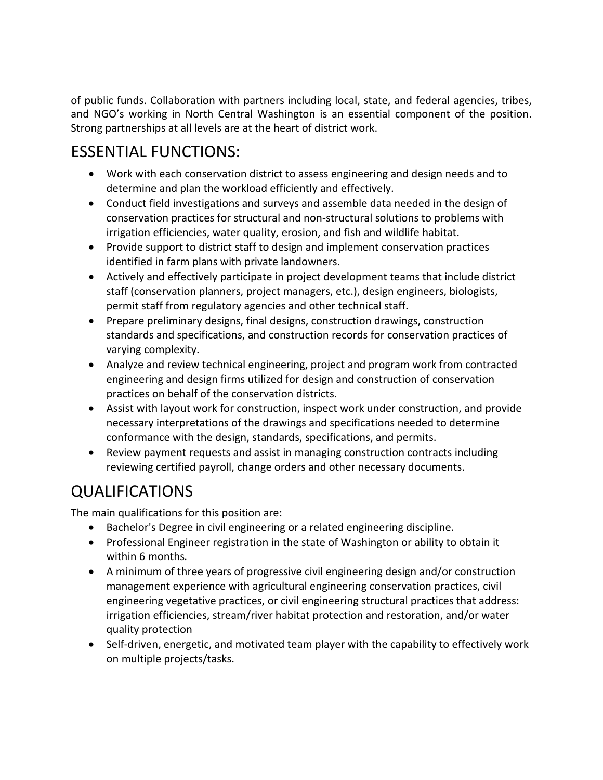of public funds. Collaboration with partners including local, state, and federal agencies, tribes, and NGO's working in North Central Washington is an essential component of the position. Strong partnerships at all levels are at the heart of district work.

# ESSENTIAL FUNCTIONS:

- Work with each conservation district to assess engineering and design needs and to determine and plan the workload efficiently and effectively.
- Conduct field investigations and surveys and assemble data needed in the design of conservation practices for structural and non-structural solutions to problems with irrigation efficiencies, water quality, erosion, and fish and wildlife habitat.
- Provide support to district staff to design and implement conservation practices identified in farm plans with private landowners.
- Actively and effectively participate in project development teams that include district staff (conservation planners, project managers, etc.), design engineers, biologists, permit staff from regulatory agencies and other technical staff.
- Prepare preliminary designs, final designs, construction drawings, construction standards and specifications, and construction records for conservation practices of varying complexity.
- Analyze and review technical engineering, project and program work from contracted engineering and design firms utilized for design and construction of conservation practices on behalf of the conservation districts.
- Assist with layout work for construction, inspect work under construction, and provide necessary interpretations of the drawings and specifications needed to determine conformance with the design, standards, specifications, and permits.
- Review payment requests and assist in managing construction contracts including reviewing certified payroll, change orders and other necessary documents.

# QUALIFICATIONS

The main qualifications for this position are:

- Bachelor's Degree in civil engineering or a related engineering discipline.
- Professional Engineer registration in the state of Washington or ability to obtain it within 6 months*.*
- A minimum of three years of progressive civil engineering design and/or construction management experience with agricultural engineering conservation practices, civil engineering vegetative practices, or civil engineering structural practices that address: irrigation efficiencies, stream/river habitat protection and restoration, and/or water quality protection
- Self-driven, energetic, and motivated team player with the capability to effectively work on multiple projects/tasks.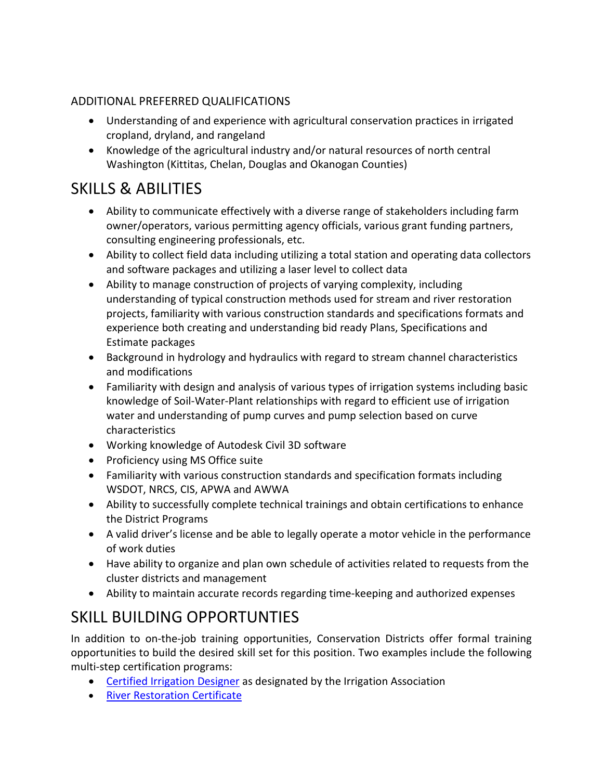#### ADDITIONAL PREFERRED QUALIFICATIONS

- Understanding of and experience with agricultural conservation practices in irrigated cropland, dryland, and rangeland
- Knowledge of the agricultural industry and/or natural resources of north central Washington (Kittitas, Chelan, Douglas and Okanogan Counties)

# SKILLS & ABILITIES

- Ability to communicate effectively with a diverse range of stakeholders including farm owner/operators, various permitting agency officials, various grant funding partners, consulting engineering professionals, etc.
- Ability to collect field data including utilizing a total station and operating data collectors and software packages and utilizing a laser level to collect data
- Ability to manage construction of projects of varying complexity, including understanding of typical construction methods used for stream and river restoration projects, familiarity with various construction standards and specifications formats and experience both creating and understanding bid ready Plans, Specifications and Estimate packages
- Background in hydrology and hydraulics with regard to stream channel characteristics and modifications
- Familiarity with design and analysis of various types of irrigation systems including basic knowledge of Soil-Water-Plant relationships with regard to efficient use of irrigation water and understanding of pump curves and pump selection based on curve characteristics
- Working knowledge of Autodesk Civil 3D software
- Proficiency using MS Office suite
- Familiarity with various construction standards and specification formats including WSDOT, NRCS, CIS, APWA and AWWA
- Ability to successfully complete technical trainings and obtain certifications to enhance the District Programs
- A valid driver's license and be able to legally operate a motor vehicle in the performance of work duties
- Have ability to organize and plan own schedule of activities related to requests from the cluster districts and management
- Ability to maintain accurate records regarding time-keeping and authorized expenses

# SKILL BUILDING OPPORTUNTIES

In addition to on-the-job training opportunities, Conservation Districts offer formal training opportunities to build the desired skill set for this position. Two examples include the following multi-step certification programs:

- [Certified Irrigation Designer](https://www.irrigation.org/IA/Certification/Agriculture-Certifications/CID-Agriculture/IA/Certification/CID-Agriculture.aspx) as designated by the Irrigation Association
- [River Restoration Certificate](https://www.pdx.edu/environmental-science/environmental-professional-program-certificates#restoration)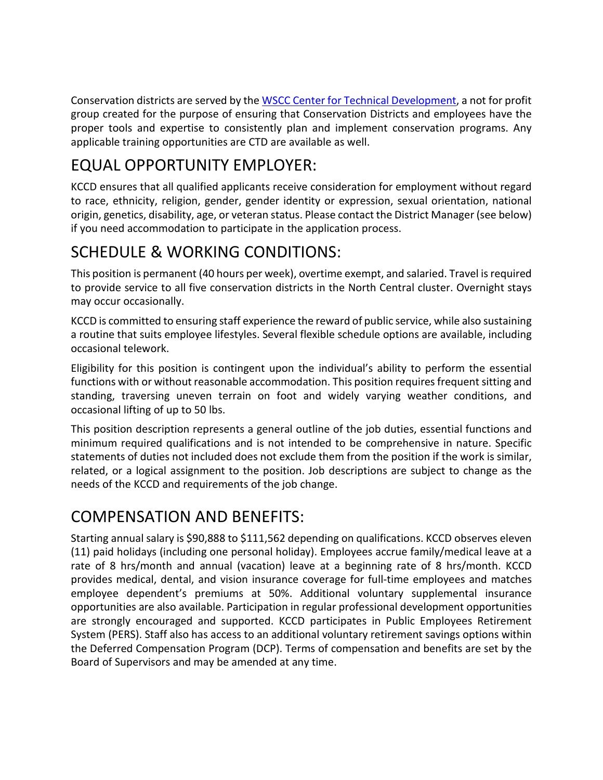Conservation districts are served by the [WSCC Center for Technical Development,](https://www.wactd.org/) a not for profit group created for the purpose of ensuring that Conservation Districts and employees have the proper tools and expertise to consistently plan and implement conservation programs. Any applicable training opportunities are CTD are available as well.

# EQUAL OPPORTUNITY EMPLOYER:

KCCD ensures that all qualified applicants receive consideration for employment without regard to race, ethnicity, religion, gender, gender identity or expression, sexual orientation, national origin, genetics, disability, age, or veteran status. Please contact the District Manager (see below) if you need accommodation to participate in the application process.

# SCHEDULE & WORKING CONDITIONS:

This position is permanent (40 hours per week), overtime exempt, and salaried. Travel is required to provide service to all five conservation districts in the North Central cluster. Overnight stays may occur occasionally.

KCCD is committed to ensuring staff experience the reward of public service, while also sustaining a routine that suits employee lifestyles. Several flexible schedule options are available, including occasional telework.

Eligibility for this position is contingent upon the individual's ability to perform the essential functions with or without reasonable accommodation. This position requires frequent sitting and standing, traversing uneven terrain on foot and widely varying weather conditions, and occasional lifting of up to 50 lbs.

This position description represents a general outline of the job duties, essential functions and minimum required qualifications and is not intended to be comprehensive in nature. Specific statements of duties not included does not exclude them from the position if the work is similar, related, or a logical assignment to the position. Job descriptions are subject to change as the needs of the KCCD and requirements of the job change.

## COMPENSATION AND BENEFITS:

Starting annual salary is \$90,888 to \$111,562 depending on qualifications. KCCD observes eleven (11) paid holidays (including one personal holiday). Employees accrue family/medical leave at a rate of 8 hrs/month and annual (vacation) leave at a beginning rate of 8 hrs/month. KCCD provides medical, dental, and vision insurance coverage for full-time employees and matches employee dependent's premiums at 50%. Additional voluntary supplemental insurance opportunities are also available. Participation in regular professional development opportunities are strongly encouraged and supported. KCCD participates in Public Employees Retirement System (PERS). Staff also has access to an additional voluntary retirement savings options within the Deferred Compensation Program (DCP). Terms of compensation and benefits are set by the Board of Supervisors and may be amended at any time.